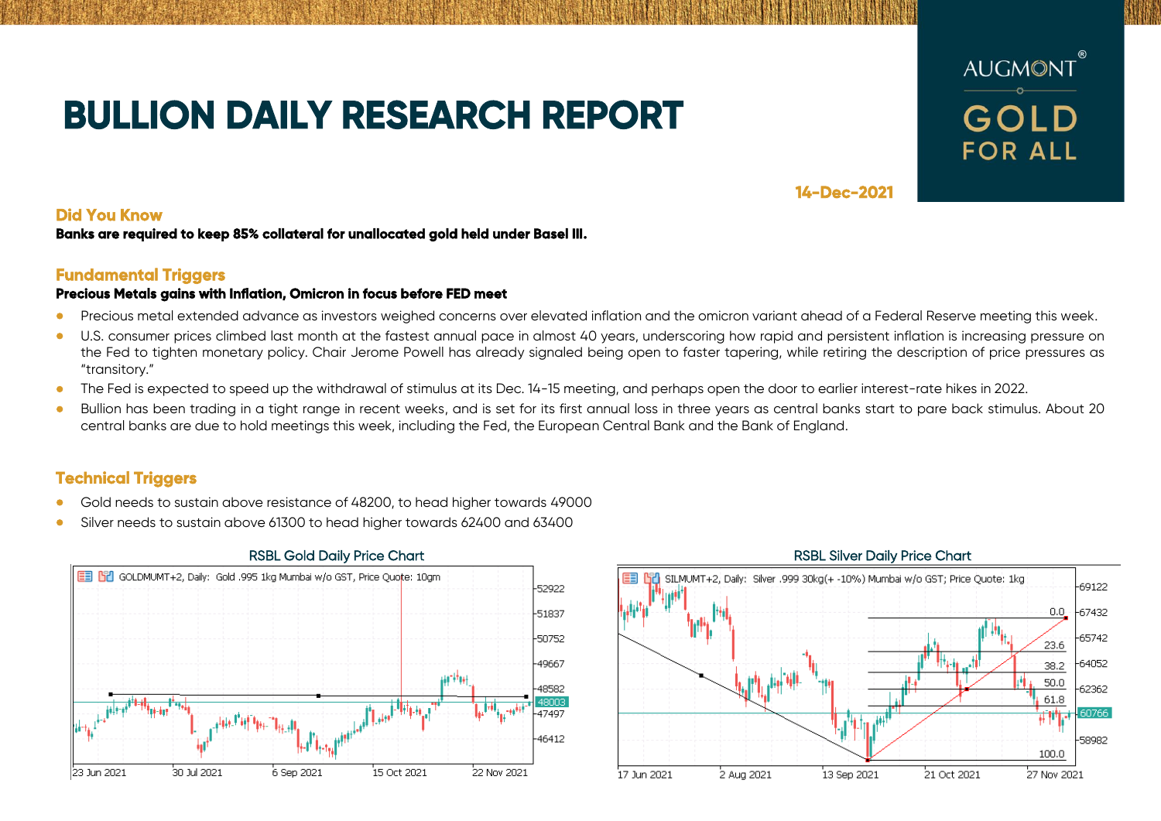# **BULLION DAILY RESEARCH REPORT**



## **14-Dec-2021**

## **Did You Know**

### **Banks are required to keep 85% collateral for unallocated gold held under Basel III.**

## **Fundamental Triggers**

### **Precious Metals gains with Inflation, Omicron in focus before FED meet**

- Precious metal extended advance as investors weighed concerns over elevated inflation and the omicron variant ahead of a Federal Reserve meeting this week.
- U.S. consumer prices climbed last month at the fastest annual pace in almost 40 years, underscoring how rapid and persistent inflation is increasing pressure on the Fed to tighten monetary policy. Chair Jerome Powell has already signaled being open to faster tapering, while retiring the description of price pressures as "transitory."
- The Fed is expected to speed up the withdrawal of stimulus at its Dec. 14-15 meeting, and perhaps open the door to earlier interest-rate hikes in 2022.
- Bullion has been trading in a tight range in recent weeks, and is set for its first annual loss in three years as central banks start to pare back stimulus. About 20 central banks are due to hold meetings this week, including the Fed, the European Central Bank and the Bank of England.

# **Technical Triggers**

- Gold needs to sustain above resistance of 48200, to head higher towards 49000
- Silver needs to sustain above 61300 to head higher towards 62400 and 63400